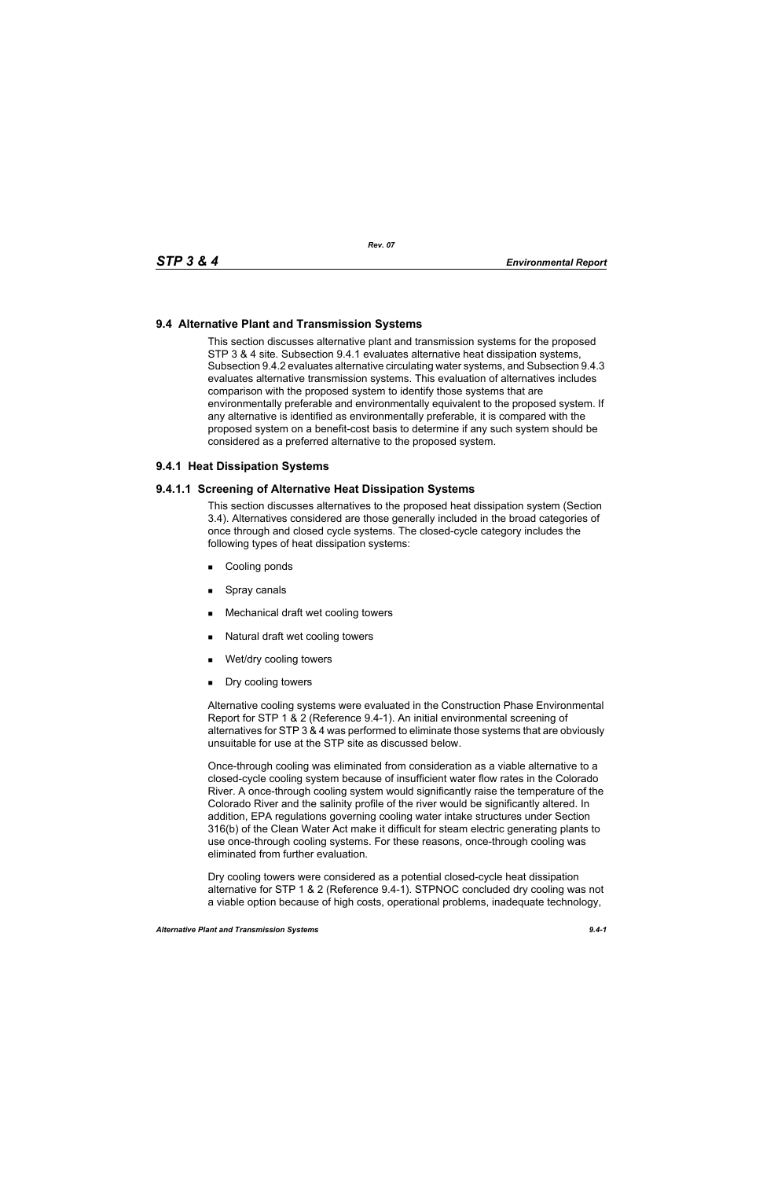# **9.4 Alternative Plant and Transmission Systems**

This section discusses alternative plant and transmission systems for the proposed STP 3 & 4 site. Subsection 9.4.1 evaluates alternative heat dissipation systems, Subsection 9.4.2 evaluates alternative circulating water systems, and Subsection 9.4.3 evaluates alternative transmission systems. This evaluation of alternatives includes comparison with the proposed system to identify those systems that are environmentally preferable and environmentally equivalent to the proposed system. If any alternative is identified as environmentally preferable, it is compared with the proposed system on a benefit-cost basis to determine if any such system should be considered as a preferred alternative to the proposed system.

# **9.4.1 Heat Dissipation Systems**

## **9.4.1.1 Screening of Alternative Heat Dissipation Systems**

This section discusses alternatives to the proposed heat dissipation system (Section 3.4). Alternatives considered are those generally included in the broad categories of once through and closed cycle systems. The closed-cycle category includes the following types of heat dissipation systems:

- **Cooling ponds**
- **Spray canals**
- Mechanical draft wet cooling towers
- Natural draft wet cooling towers
- Wet/dry cooling towers
- **Dry cooling towers**

Alternative cooling systems were evaluated in the Construction Phase Environmental Report for STP 1 & 2 (Reference 9.4-1). An initial environmental screening of alternatives for STP 3 & 4 was performed to eliminate those systems that are obviously unsuitable for use at the STP site as discussed below.

Once-through cooling was eliminated from consideration as a viable alternative to a closed-cycle cooling system because of insufficient water flow rates in the Colorado River. A once-through cooling system would significantly raise the temperature of the Colorado River and the salinity profile of the river would be significantly altered. In addition, EPA regulations governing cooling water intake structures under Section 316(b) of the Clean Water Act make it difficult for steam electric generating plants to use once-through cooling systems. For these reasons, once-through cooling was eliminated from further evaluation.

Dry cooling towers were considered as a potential closed-cycle heat dissipation alternative for STP 1 & 2 (Reference 9.4-1). STPNOC concluded dry cooling was not a viable option because of high costs, operational problems, inadequate technology,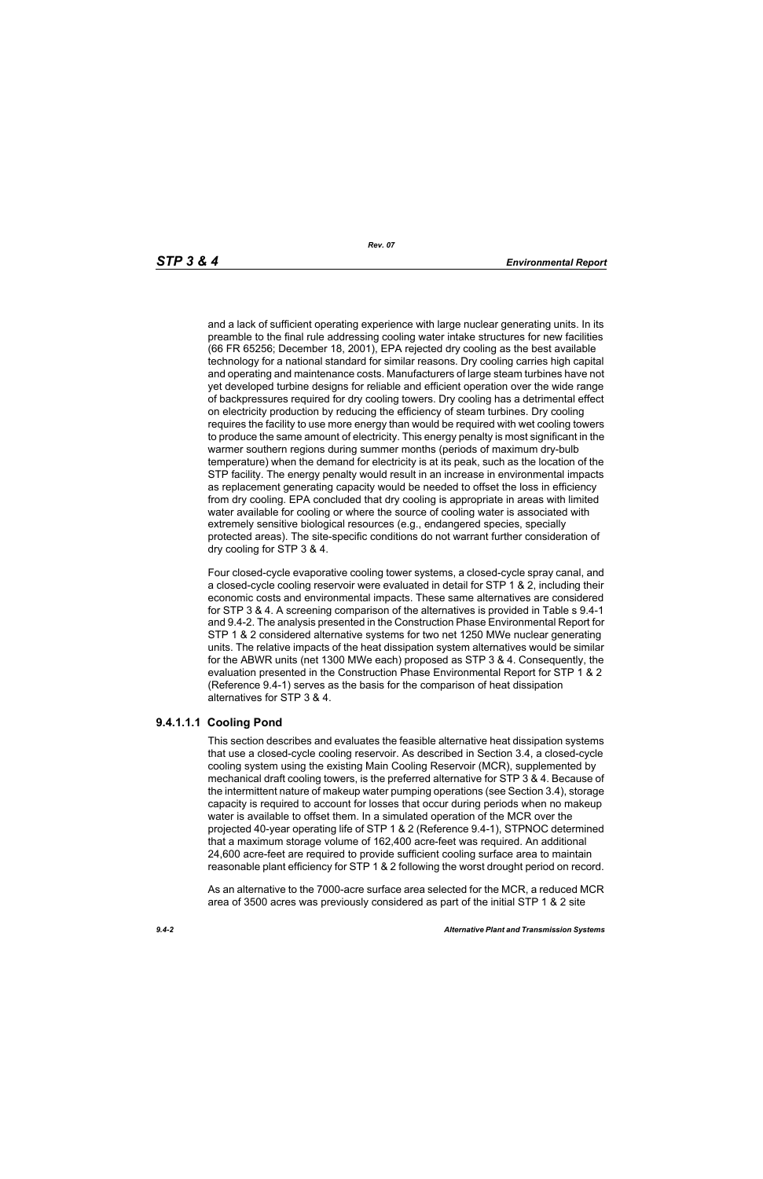and a lack of sufficient operating experience with large nuclear generating units. In its preamble to the final rule addressing cooling water intake structures for new facilities (66 FR 65256; December 18, 2001), EPA rejected dry cooling as the best available technology for a national standard for similar reasons. Dry cooling carries high capital and operating and maintenance costs. Manufacturers of large steam turbines have not yet developed turbine designs for reliable and efficient operation over the wide range of backpressures required for dry cooling towers. Dry cooling has a detrimental effect on electricity production by reducing the efficiency of steam turbines. Dry cooling requires the facility to use more energy than would be required with wet cooling towers to produce the same amount of electricity. This energy penalty is most significant in the warmer southern regions during summer months (periods of maximum dry-bulb temperature) when the demand for electricity is at its peak, such as the location of the STP facility. The energy penalty would result in an increase in environmental impacts as replacement generating capacity would be needed to offset the loss in efficiency from dry cooling. EPA concluded that dry cooling is appropriate in areas with limited water available for cooling or where the source of cooling water is associated with extremely sensitive biological resources (e.g., endangered species, specially protected areas). The site-specific conditions do not warrant further consideration of dry cooling for STP 3 & 4.

Four closed-cycle evaporative cooling tower systems, a closed-cycle spray canal, and a closed-cycle cooling reservoir were evaluated in detail for STP 1 & 2, including their economic costs and environmental impacts. These same alternatives are considered for STP 3 & 4. A screening comparison of the alternatives is provided in Table s 9.4-1 and 9.4-2. The analysis presented in the Construction Phase Environmental Report for STP 1 & 2 considered alternative systems for two net 1250 MWe nuclear generating units. The relative impacts of the heat dissipation system alternatives would be similar for the ABWR units (net 1300 MWe each) proposed as STP 3 & 4. Consequently, the evaluation presented in the Construction Phase Environmental Report for STP 1 & 2 (Reference 9.4-1) serves as the basis for the comparison of heat dissipation alternatives for STP 3 & 4.

# **9.4.1.1.1 Cooling Pond**

This section describes and evaluates the feasible alternative heat dissipation systems that use a closed-cycle cooling reservoir. As described in Section 3.4, a closed-cycle cooling system using the existing Main Cooling Reservoir (MCR), supplemented by mechanical draft cooling towers, is the preferred alternative for STP 3 & 4. Because of the intermittent nature of makeup water pumping operations (see Section 3.4), storage capacity is required to account for losses that occur during periods when no makeup water is available to offset them. In a simulated operation of the MCR over the projected 40-year operating life of STP 1 & 2 (Reference 9.4-1), STPNOC determined that a maximum storage volume of 162,400 acre-feet was required. An additional 24,600 acre-feet are required to provide sufficient cooling surface area to maintain reasonable plant efficiency for STP 1 & 2 following the worst drought period on record.

As an alternative to the 7000-acre surface area selected for the MCR, a reduced MCR area of 3500 acres was previously considered as part of the initial STP 1 & 2 site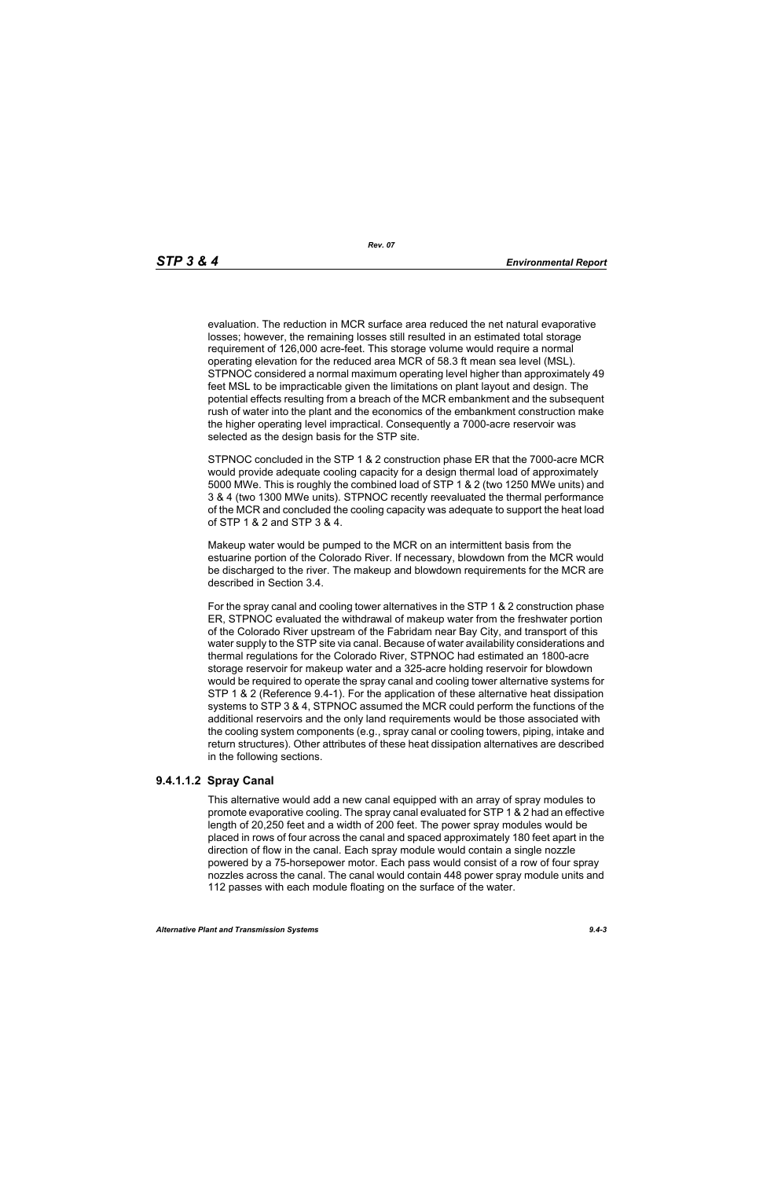evaluation. The reduction in MCR surface area reduced the net natural evaporative losses; however, the remaining losses still resulted in an estimated total storage requirement of 126,000 acre-feet. This storage volume would require a normal operating elevation for the reduced area MCR of 58.3 ft mean sea level (MSL). STPNOC considered a normal maximum operating level higher than approximately 49 feet MSL to be impracticable given the limitations on plant layout and design. The potential effects resulting from a breach of the MCR embankment and the subsequent rush of water into the plant and the economics of the embankment construction make the higher operating level impractical. Consequently a 7000-acre reservoir was selected as the design basis for the STP site.

STPNOC concluded in the STP 1 & 2 construction phase ER that the 7000-acre MCR would provide adequate cooling capacity for a design thermal load of approximately 5000 MWe. This is roughly the combined load of STP 1 & 2 (two 1250 MWe units) and 3 & 4 (two 1300 MWe units). STPNOC recently reevaluated the thermal performance of the MCR and concluded the cooling capacity was adequate to support the heat load of STP 1 & 2 and STP 3 & 4.

Makeup water would be pumped to the MCR on an intermittent basis from the estuarine portion of the Colorado River. If necessary, blowdown from the MCR would be discharged to the river. The makeup and blowdown requirements for the MCR are described in Section 3.4.

For the spray canal and cooling tower alternatives in the STP 1 & 2 construction phase ER, STPNOC evaluated the withdrawal of makeup water from the freshwater portion of the Colorado River upstream of the Fabridam near Bay City, and transport of this water supply to the STP site via canal. Because of water availability considerations and thermal regulations for the Colorado River, STPNOC had estimated an 1800-acre storage reservoir for makeup water and a 325-acre holding reservoir for blowdown would be required to operate the spray canal and cooling tower alternative systems for STP 1 & 2 (Reference 9.4-1). For the application of these alternative heat dissipation systems to STP 3 & 4, STPNOC assumed the MCR could perform the functions of the additional reservoirs and the only land requirements would be those associated with the cooling system components (e.g., spray canal or cooling towers, piping, intake and return structures). Other attributes of these heat dissipation alternatives are described in the following sections.

### **9.4.1.1.2 Spray Canal**

This alternative would add a new canal equipped with an array of spray modules to promote evaporative cooling. The spray canal evaluated for STP 1 & 2 had an effective length of 20,250 feet and a width of 200 feet. The power spray modules would be placed in rows of four across the canal and spaced approximately 180 feet apart in the direction of flow in the canal. Each spray module would contain a single nozzle powered by a 75-horsepower motor. Each pass would consist of a row of four spray nozzles across the canal. The canal would contain 448 power spray module units and 112 passes with each module floating on the surface of the water.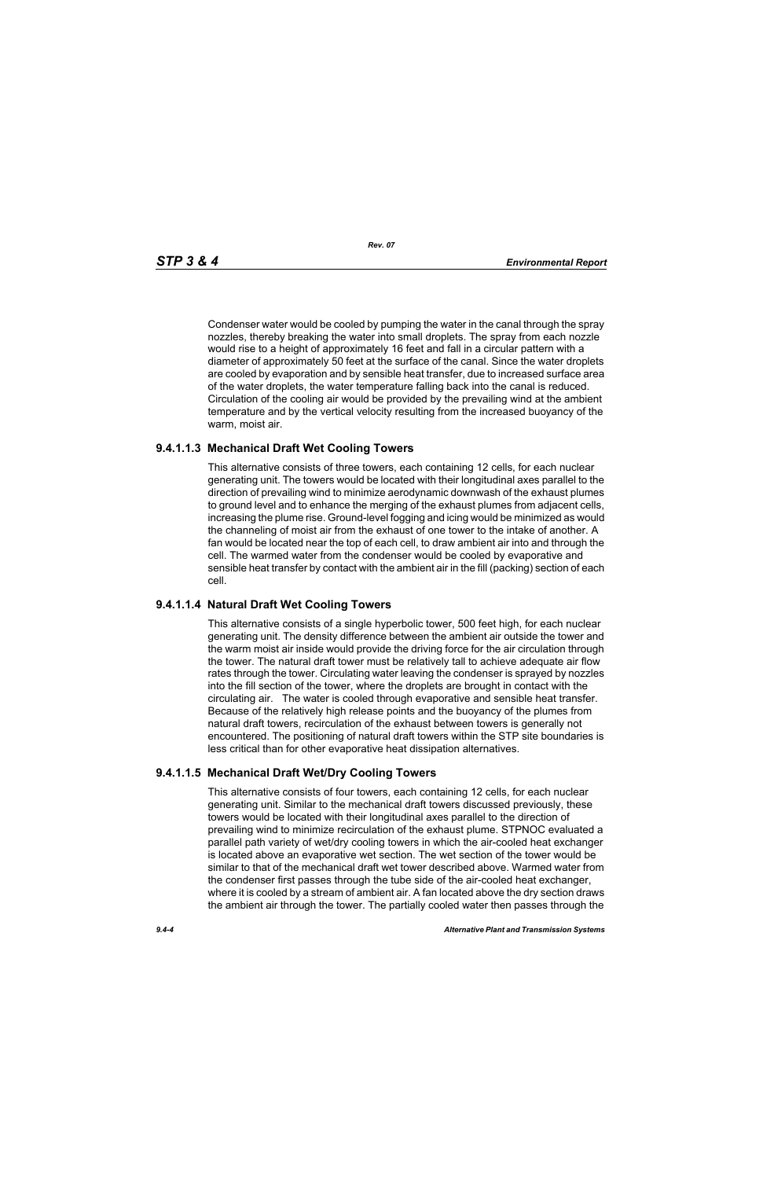*Rev. 07*

Condenser water would be cooled by pumping the water in the canal through the spray nozzles, thereby breaking the water into small droplets. The spray from each nozzle would rise to a height of approximately 16 feet and fall in a circular pattern with a diameter of approximately 50 feet at the surface of the canal. Since the water droplets are cooled by evaporation and by sensible heat transfer, due to increased surface area of the water droplets, the water temperature falling back into the canal is reduced. Circulation of the cooling air would be provided by the prevailing wind at the ambient temperature and by the vertical velocity resulting from the increased buoyancy of the warm, moist air.

# **9.4.1.1.3 Mechanical Draft Wet Cooling Towers**

This alternative consists of three towers, each containing 12 cells, for each nuclear generating unit. The towers would be located with their longitudinal axes parallel to the direction of prevailing wind to minimize aerodynamic downwash of the exhaust plumes to ground level and to enhance the merging of the exhaust plumes from adjacent cells, increasing the plume rise. Ground-level fogging and icing would be minimized as would the channeling of moist air from the exhaust of one tower to the intake of another. A fan would be located near the top of each cell, to draw ambient air into and through the cell. The warmed water from the condenser would be cooled by evaporative and sensible heat transfer by contact with the ambient air in the fill (packing) section of each cell.

# **9.4.1.1.4 Natural Draft Wet Cooling Towers**

This alternative consists of a single hyperbolic tower, 500 feet high, for each nuclear generating unit. The density difference between the ambient air outside the tower and the warm moist air inside would provide the driving force for the air circulation through the tower. The natural draft tower must be relatively tall to achieve adequate air flow rates through the tower. Circulating water leaving the condenser is sprayed by nozzles into the fill section of the tower, where the droplets are brought in contact with the circulating air. The water is cooled through evaporative and sensible heat transfer. Because of the relatively high release points and the buoyancy of the plumes from natural draft towers, recirculation of the exhaust between towers is generally not encountered. The positioning of natural draft towers within the STP site boundaries is less critical than for other evaporative heat dissipation alternatives.

# **9.4.1.1.5 Mechanical Draft Wet/Dry Cooling Towers**

This alternative consists of four towers, each containing 12 cells, for each nuclear generating unit. Similar to the mechanical draft towers discussed previously, these towers would be located with their longitudinal axes parallel to the direction of prevailing wind to minimize recirculation of the exhaust plume. STPNOC evaluated a parallel path variety of wet/dry cooling towers in which the air-cooled heat exchanger is located above an evaporative wet section. The wet section of the tower would be similar to that of the mechanical draft wet tower described above. Warmed water from the condenser first passes through the tube side of the air-cooled heat exchanger, where it is cooled by a stream of ambient air. A fan located above the dry section draws the ambient air through the tower. The partially cooled water then passes through the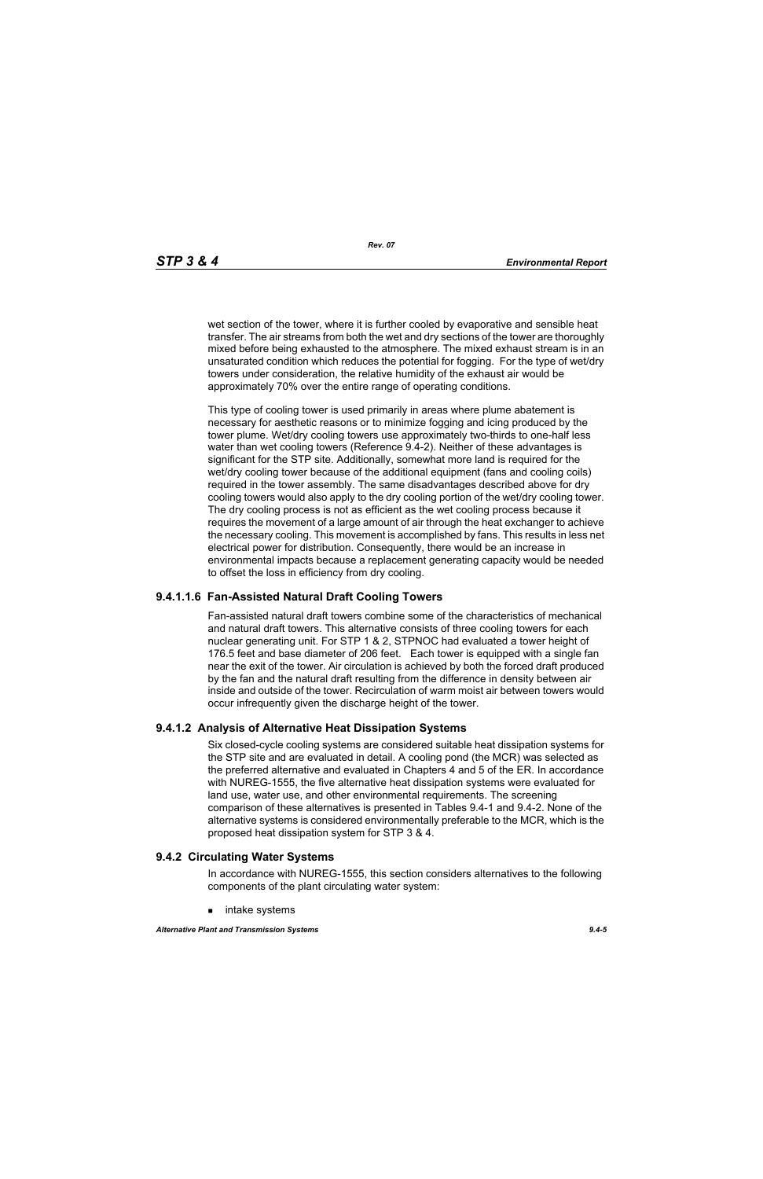wet section of the tower, where it is further cooled by evaporative and sensible heat transfer. The air streams from both the wet and dry sections of the tower are thoroughly mixed before being exhausted to the atmosphere. The mixed exhaust stream is in an unsaturated condition which reduces the potential for fogging. For the type of wet/dry towers under consideration, the relative humidity of the exhaust air would be approximately 70% over the entire range of operating conditions.

This type of cooling tower is used primarily in areas where plume abatement is necessary for aesthetic reasons or to minimize fogging and icing produced by the tower plume. Wet/dry cooling towers use approximately two-thirds to one-half less water than wet cooling towers (Reference 9.4-2). Neither of these advantages is significant for the STP site. Additionally, somewhat more land is required for the wet/dry cooling tower because of the additional equipment (fans and cooling coils) required in the tower assembly. The same disadvantages described above for dry cooling towers would also apply to the dry cooling portion of the wet/dry cooling tower. The dry cooling process is not as efficient as the wet cooling process because it requires the movement of a large amount of air through the heat exchanger to achieve the necessary cooling. This movement is accomplished by fans. This results in less net electrical power for distribution. Consequently, there would be an increase in environmental impacts because a replacement generating capacity would be needed to offset the loss in efficiency from dry cooling.

# **9.4.1.1.6 Fan-Assisted Natural Draft Cooling Towers**

Fan-assisted natural draft towers combine some of the characteristics of mechanical and natural draft towers. This alternative consists of three cooling towers for each nuclear generating unit. For STP 1 & 2, STPNOC had evaluated a tower height of 176.5 feet and base diameter of 206 feet. Each tower is equipped with a single fan near the exit of the tower. Air circulation is achieved by both the forced draft produced by the fan and the natural draft resulting from the difference in density between air inside and outside of the tower. Recirculation of warm moist air between towers would occur infrequently given the discharge height of the tower.

# **9.4.1.2 Analysis of Alternative Heat Dissipation Systems**

Six closed-cycle cooling systems are considered suitable heat dissipation systems for the STP site and are evaluated in detail. A cooling pond (the MCR) was selected as the preferred alternative and evaluated in Chapters 4 and 5 of the ER. In accordance with NUREG-1555, the five alternative heat dissipation systems were evaluated for land use, water use, and other environmental requirements. The screening comparison of these alternatives is presented in Tables 9.4-1 and 9.4-2. None of the alternative systems is considered environmentally preferable to the MCR, which is the proposed heat dissipation system for STP 3 & 4.

### **9.4.2 Circulating Water Systems**

In accordance with NUREG-1555, this section considers alternatives to the following components of the plant circulating water system:

intake systems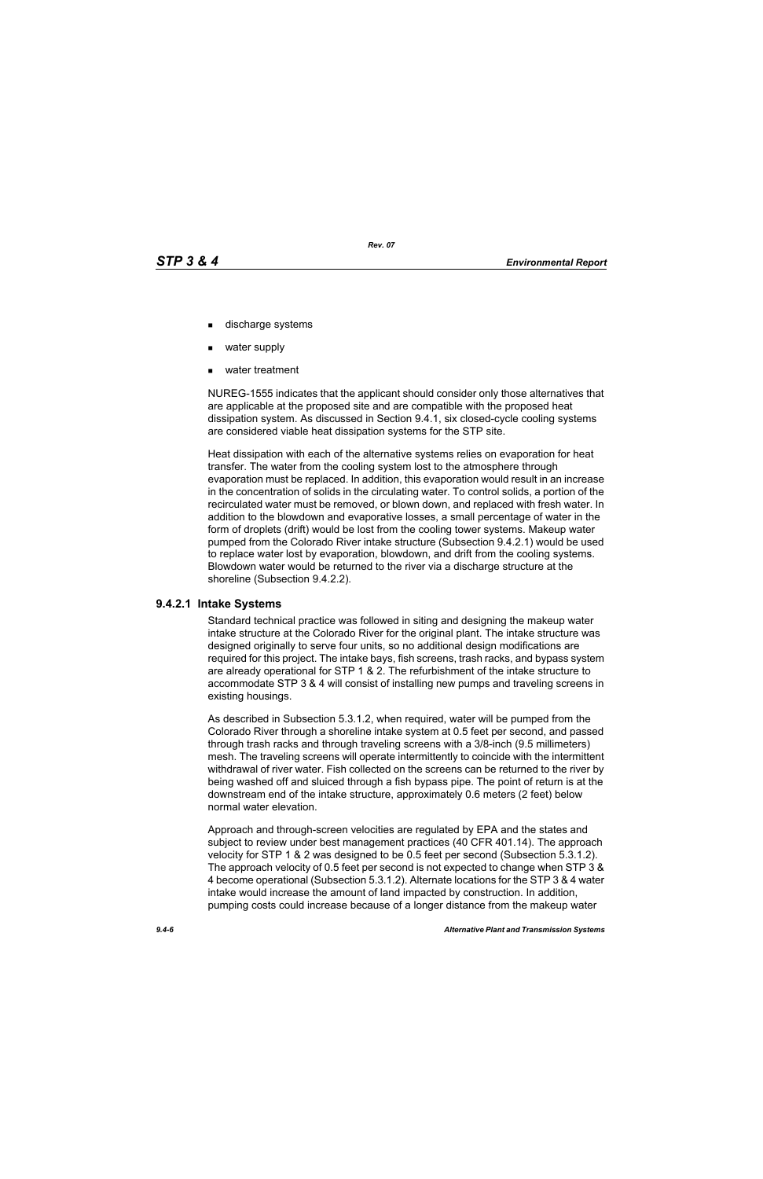- discharge systems
- water supply
- water treatment

NUREG-1555 indicates that the applicant should consider only those alternatives that are applicable at the proposed site and are compatible with the proposed heat dissipation system. As discussed in Section 9.4.1, six closed-cycle cooling systems are considered viable heat dissipation systems for the STP site.

Heat dissipation with each of the alternative systems relies on evaporation for heat transfer. The water from the cooling system lost to the atmosphere through evaporation must be replaced. In addition, this evaporation would result in an increase in the concentration of solids in the circulating water. To control solids, a portion of the recirculated water must be removed, or blown down, and replaced with fresh water. In addition to the blowdown and evaporative losses, a small percentage of water in the form of droplets (drift) would be lost from the cooling tower systems. Makeup water pumped from the Colorado River intake structure (Subsection 9.4.2.1) would be used to replace water lost by evaporation, blowdown, and drift from the cooling systems. Blowdown water would be returned to the river via a discharge structure at the shoreline (Subsection 9.4.2.2).

### **9.4.2.1 Intake Systems**

Standard technical practice was followed in siting and designing the makeup water intake structure at the Colorado River for the original plant. The intake structure was designed originally to serve four units, so no additional design modifications are required for this project. The intake bays, fish screens, trash racks, and bypass system are already operational for STP 1 & 2. The refurbishment of the intake structure to accommodate STP 3 & 4 will consist of installing new pumps and traveling screens in existing housings.

As described in Subsection 5.3.1.2, when required, water will be pumped from the Colorado River through a shoreline intake system at 0.5 feet per second, and passed through trash racks and through traveling screens with a 3/8-inch (9.5 millimeters) mesh. The traveling screens will operate intermittently to coincide with the intermittent withdrawal of river water. Fish collected on the screens can be returned to the river by being washed off and sluiced through a fish bypass pipe. The point of return is at the downstream end of the intake structure, approximately 0.6 meters (2 feet) below normal water elevation.

Approach and through-screen velocities are regulated by EPA and the states and subject to review under best management practices (40 CFR 401.14). The approach velocity for STP 1 & 2 was designed to be 0.5 feet per second (Subsection 5.3.1.2). The approach velocity of 0.5 feet per second is not expected to change when STP 3 & 4 become operational (Subsection 5.3.1.2). Alternate locations for the STP 3 & 4 water intake would increase the amount of land impacted by construction. In addition, pumping costs could increase because of a longer distance from the makeup water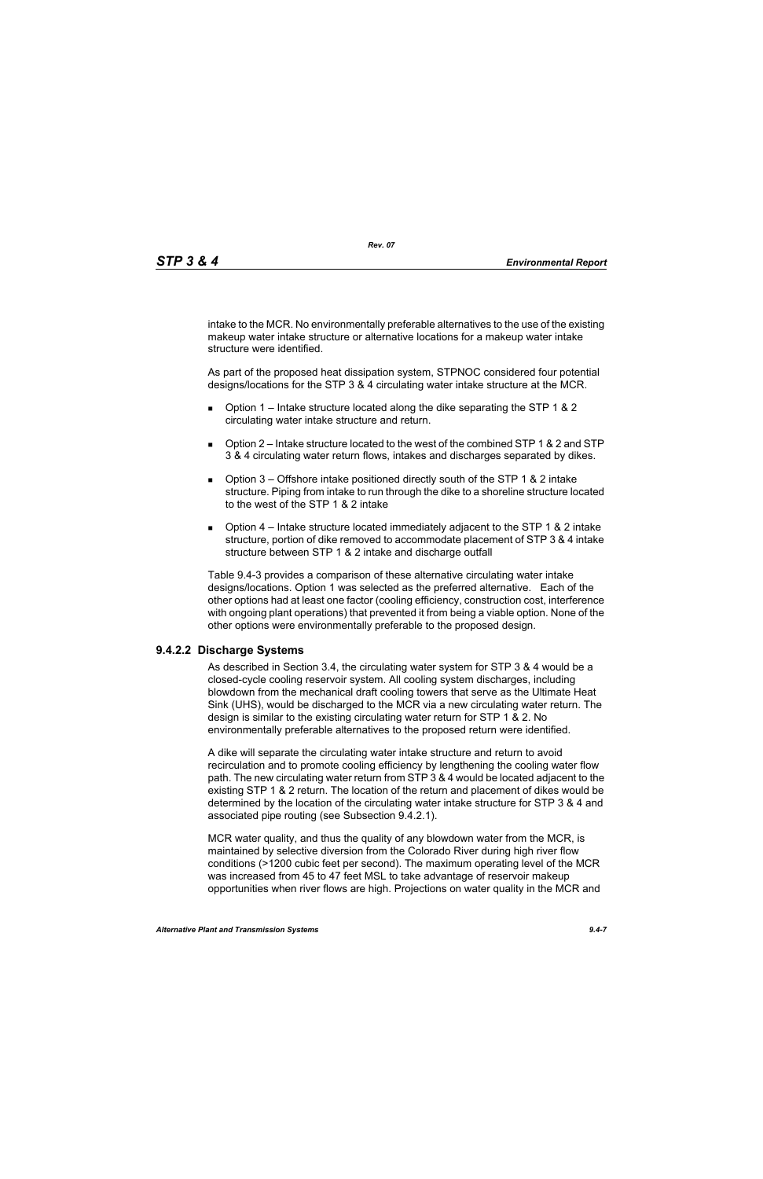intake to the MCR. No environmentally preferable alternatives to the use of the existing makeup water intake structure or alternative locations for a makeup water intake structure were identified.

As part of the proposed heat dissipation system, STPNOC considered four potential designs/locations for the STP 3 & 4 circulating water intake structure at the MCR.

- **D** Option 1 Intake structure located along the dike separating the STP 1 & 2 circulating water intake structure and return.
- $\Box$  Option 2 Intake structure located to the west of the combined STP 1 & 2 and STP 3 & 4 circulating water return flows, intakes and discharges separated by dikes.
- **D** Option  $3$  Offshore intake positioned directly south of the STP 1 & 2 intake structure. Piping from intake to run through the dike to a shoreline structure located to the west of the STP 1 & 2 intake
- **D** Option  $4$  Intake structure located immediately adjacent to the STP 1 & 2 intake structure, portion of dike removed to accommodate placement of STP 3 & 4 intake structure between STP 1 & 2 intake and discharge outfall

Table 9.4-3 provides a comparison of these alternative circulating water intake designs/locations. Option 1 was selected as the preferred alternative. Each of the other options had at least one factor (cooling efficiency, construction cost, interference with ongoing plant operations) that prevented it from being a viable option. None of the other options were environmentally preferable to the proposed design.

# **9.4.2.2 Discharge Systems**

As described in Section 3.4, the circulating water system for STP 3 & 4 would be a closed-cycle cooling reservoir system. All cooling system discharges, including blowdown from the mechanical draft cooling towers that serve as the Ultimate Heat Sink (UHS), would be discharged to the MCR via a new circulating water return. The design is similar to the existing circulating water return for STP 1 & 2. No environmentally preferable alternatives to the proposed return were identified.

A dike will separate the circulating water intake structure and return to avoid recirculation and to promote cooling efficiency by lengthening the cooling water flow path. The new circulating water return from STP 3 & 4 would be located adjacent to the existing STP 1 & 2 return. The location of the return and placement of dikes would be determined by the location of the circulating water intake structure for STP 3 & 4 and associated pipe routing (see Subsection 9.4.2.1).

MCR water quality, and thus the quality of any blowdown water from the MCR, is maintained by selective diversion from the Colorado River during high river flow conditions (>1200 cubic feet per second). The maximum operating level of the MCR was increased from 45 to 47 feet MSL to take advantage of reservoir makeup opportunities when river flows are high. Projections on water quality in the MCR and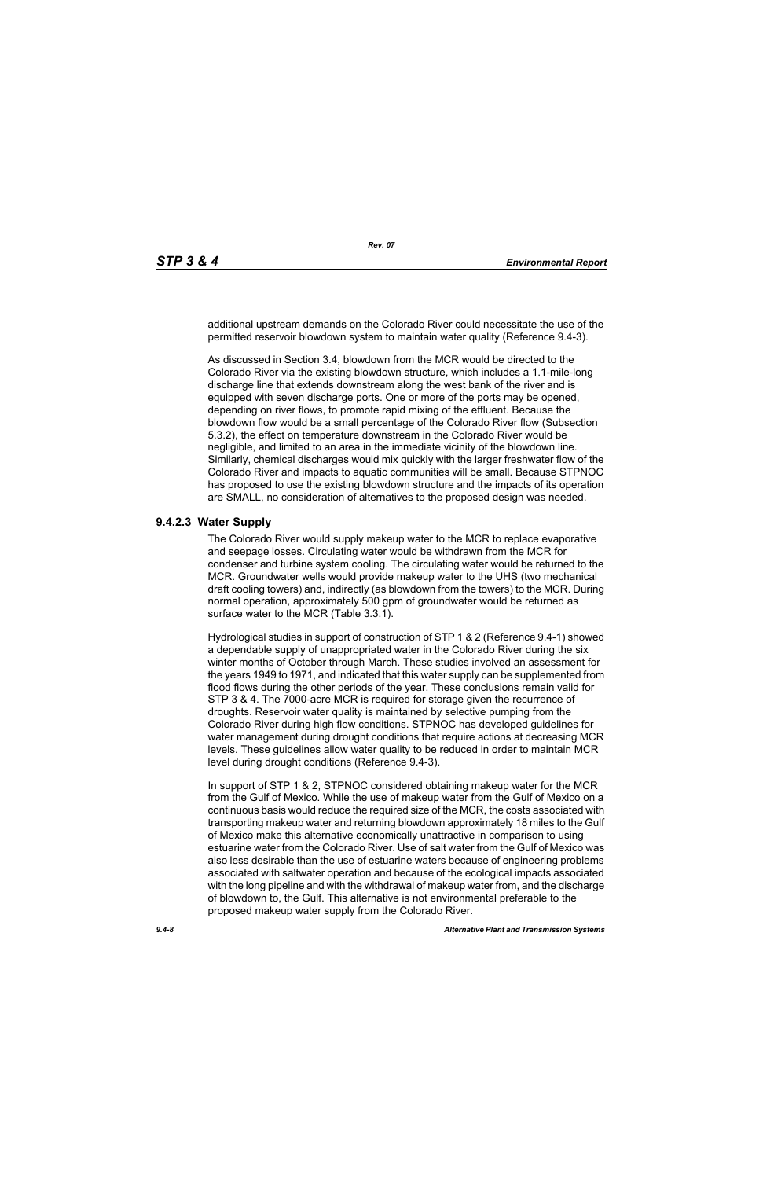additional upstream demands on the Colorado River could necessitate the use of the permitted reservoir blowdown system to maintain water quality (Reference 9.4-3).

As discussed in Section 3.4, blowdown from the MCR would be directed to the Colorado River via the existing blowdown structure, which includes a 1.1-mile-long discharge line that extends downstream along the west bank of the river and is equipped with seven discharge ports. One or more of the ports may be opened, depending on river flows, to promote rapid mixing of the effluent. Because the blowdown flow would be a small percentage of the Colorado River flow (Subsection 5.3.2), the effect on temperature downstream in the Colorado River would be negligible, and limited to an area in the immediate vicinity of the blowdown line. Similarly, chemical discharges would mix quickly with the larger freshwater flow of the Colorado River and impacts to aquatic communities will be small. Because STPNOC has proposed to use the existing blowdown structure and the impacts of its operation are SMALL, no consideration of alternatives to the proposed design was needed.

## **9.4.2.3 Water Supply**

The Colorado River would supply makeup water to the MCR to replace evaporative and seepage losses. Circulating water would be withdrawn from the MCR for condenser and turbine system cooling. The circulating water would be returned to the MCR. Groundwater wells would provide makeup water to the UHS (two mechanical draft cooling towers) and, indirectly (as blowdown from the towers) to the MCR. During normal operation, approximately 500 gpm of groundwater would be returned as surface water to the MCR (Table 3.3.1).

Hydrological studies in support of construction of STP 1 & 2 (Reference 9.4-1) showed a dependable supply of unappropriated water in the Colorado River during the six winter months of October through March. These studies involved an assessment for the years 1949 to 1971, and indicated that this water supply can be supplemented from flood flows during the other periods of the year. These conclusions remain valid for STP 3 & 4. The 7000-acre MCR is required for storage given the recurrence of droughts. Reservoir water quality is maintained by selective pumping from the Colorado River during high flow conditions. STPNOC has developed guidelines for water management during drought conditions that require actions at decreasing MCR levels. These guidelines allow water quality to be reduced in order to maintain MCR level during drought conditions (Reference 9.4-3).

In support of STP 1 & 2, STPNOC considered obtaining makeup water for the MCR from the Gulf of Mexico. While the use of makeup water from the Gulf of Mexico on a continuous basis would reduce the required size of the MCR, the costs associated with transporting makeup water and returning blowdown approximately 18 miles to the Gulf of Mexico make this alternative economically unattractive in comparison to using estuarine water from the Colorado River. Use of salt water from the Gulf of Mexico was also less desirable than the use of estuarine waters because of engineering problems associated with saltwater operation and because of the ecological impacts associated with the long pipeline and with the withdrawal of makeup water from, and the discharge of blowdown to, the Gulf. This alternative is not environmental preferable to the proposed makeup water supply from the Colorado River.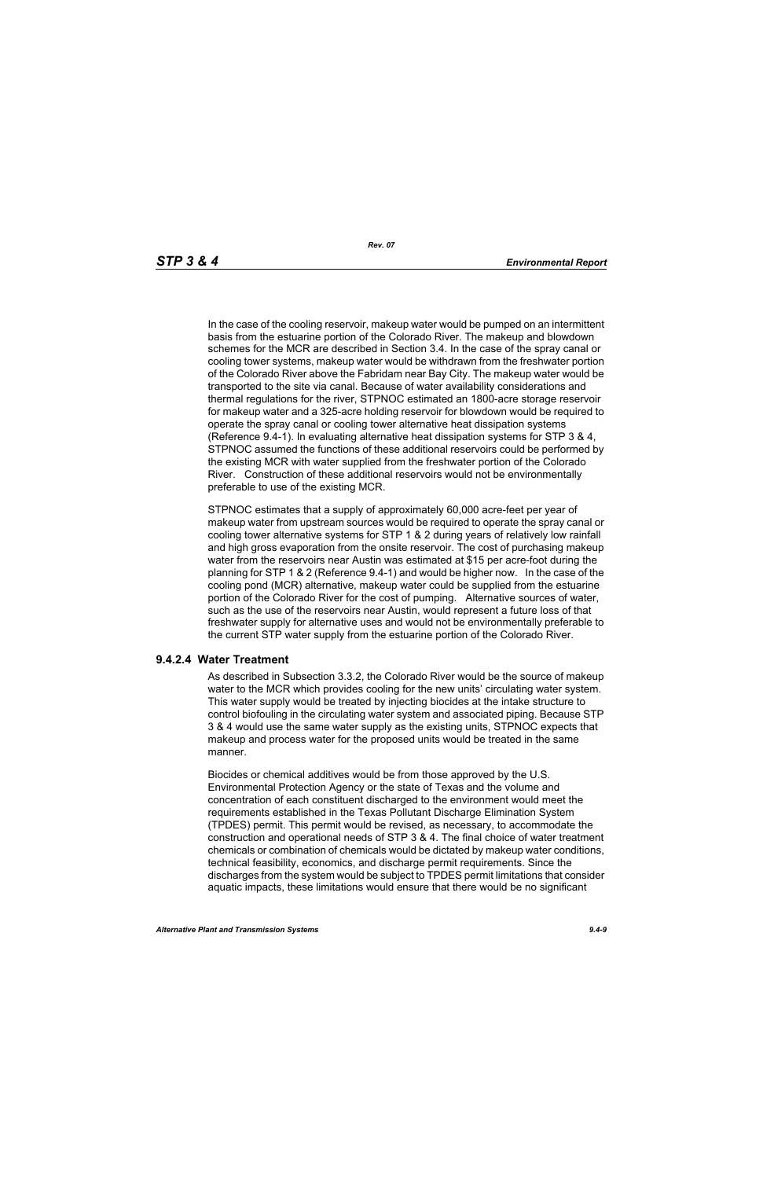In the case of the cooling reservoir, makeup water would be pumped on an intermittent basis from the estuarine portion of the Colorado River. The makeup and blowdown schemes for the MCR are described in Section 3.4. In the case of the spray canal or cooling tower systems, makeup water would be withdrawn from the freshwater portion of the Colorado River above the Fabridam near Bay City. The makeup water would be transported to the site via canal. Because of water availability considerations and thermal regulations for the river, STPNOC estimated an 1800-acre storage reservoir for makeup water and a 325-acre holding reservoir for blowdown would be required to operate the spray canal or cooling tower alternative heat dissipation systems (Reference 9.4-1). In evaluating alternative heat dissipation systems for STP 3 & 4, STPNOC assumed the functions of these additional reservoirs could be performed by the existing MCR with water supplied from the freshwater portion of the Colorado River. Construction of these additional reservoirs would not be environmentally preferable to use of the existing MCR.

STPNOC estimates that a supply of approximately 60,000 acre-feet per year of makeup water from upstream sources would be required to operate the spray canal or cooling tower alternative systems for STP 1 & 2 during years of relatively low rainfall and high gross evaporation from the onsite reservoir. The cost of purchasing makeup water from the reservoirs near Austin was estimated at \$15 per acre-foot during the planning for STP 1 & 2 (Reference 9.4-1) and would be higher now. In the case of the cooling pond (MCR) alternative, makeup water could be supplied from the estuarine portion of the Colorado River for the cost of pumping. Alternative sources of water, such as the use of the reservoirs near Austin, would represent a future loss of that freshwater supply for alternative uses and would not be environmentally preferable to the current STP water supply from the estuarine portion of the Colorado River.

### **9.4.2.4 Water Treatment**

As described in Subsection 3.3.2, the Colorado River would be the source of makeup water to the MCR which provides cooling for the new units' circulating water system. This water supply would be treated by injecting biocides at the intake structure to control biofouling in the circulating water system and associated piping. Because STP 3 & 4 would use the same water supply as the existing units, STPNOC expects that makeup and process water for the proposed units would be treated in the same manner.

Biocides or chemical additives would be from those approved by the U.S. Environmental Protection Agency or the state of Texas and the volume and concentration of each constituent discharged to the environment would meet the requirements established in the Texas Pollutant Discharge Elimination System (TPDES) permit. This permit would be revised, as necessary, to accommodate the construction and operational needs of STP 3 & 4. The final choice of water treatment chemicals or combination of chemicals would be dictated by makeup water conditions, technical feasibility, economics, and discharge permit requirements. Since the discharges from the system would be subject to TPDES permit limitations that consider aquatic impacts, these limitations would ensure that there would be no significant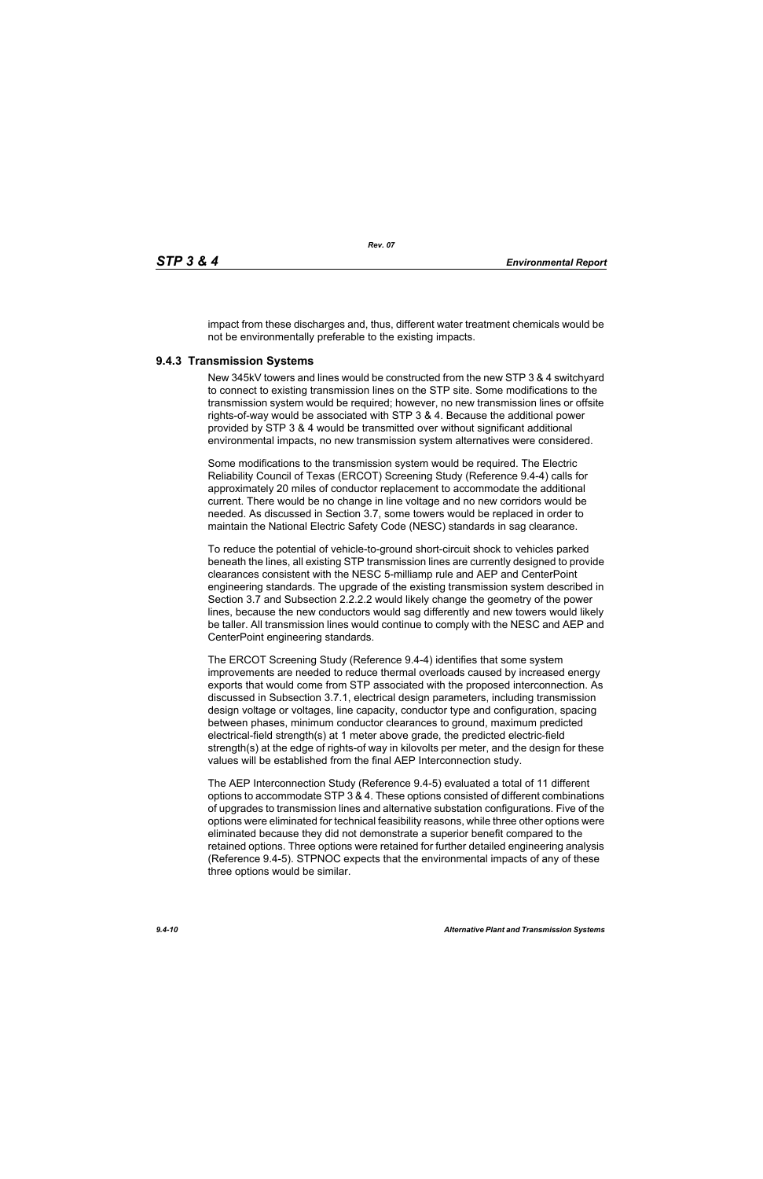impact from these discharges and, thus, different water treatment chemicals would be not be environmentally preferable to the existing impacts.

## **9.4.3 Transmission Systems**

New 345kV towers and lines would be constructed from the new STP 3 & 4 switchyard to connect to existing transmission lines on the STP site. Some modifications to the transmission system would be required; however, no new transmission lines or offsite rights-of-way would be associated with STP 3 & 4. Because the additional power provided by STP 3 & 4 would be transmitted over without significant additional environmental impacts, no new transmission system alternatives were considered.

Some modifications to the transmission system would be required. The Electric Reliability Council of Texas (ERCOT) Screening Study (Reference 9.4-4) calls for approximately 20 miles of conductor replacement to accommodate the additional current. There would be no change in line voltage and no new corridors would be needed. As discussed in Section 3.7, some towers would be replaced in order to maintain the National Electric Safety Code (NESC) standards in sag clearance.

To reduce the potential of vehicle-to-ground short-circuit shock to vehicles parked beneath the lines, all existing STP transmission lines are currently designed to provide clearances consistent with the NESC 5-milliamp rule and AEP and CenterPoint engineering standards. The upgrade of the existing transmission system described in Section 3.7 and Subsection 2.2.2.2 would likely change the geometry of the power lines, because the new conductors would sag differently and new towers would likely be taller. All transmission lines would continue to comply with the NESC and AEP and CenterPoint engineering standards.

The ERCOT Screening Study (Reference 9.4-4) identifies that some system improvements are needed to reduce thermal overloads caused by increased energy exports that would come from STP associated with the proposed interconnection. As discussed in Subsection 3.7.1, electrical design parameters, including transmission design voltage or voltages, line capacity, conductor type and configuration, spacing between phases, minimum conductor clearances to ground, maximum predicted electrical-field strength(s) at 1 meter above grade, the predicted electric-field strength(s) at the edge of rights-of way in kilovolts per meter, and the design for these values will be established from the final AEP Interconnection study.

The AEP Interconnection Study (Reference 9.4-5) evaluated a total of 11 different options to accommodate STP 3 & 4. These options consisted of different combinations of upgrades to transmission lines and alternative substation configurations. Five of the options were eliminated for technical feasibility reasons, while three other options were eliminated because they did not demonstrate a superior benefit compared to the retained options. Three options were retained for further detailed engineering analysis (Reference 9.4-5). STPNOC expects that the environmental impacts of any of these three options would be similar.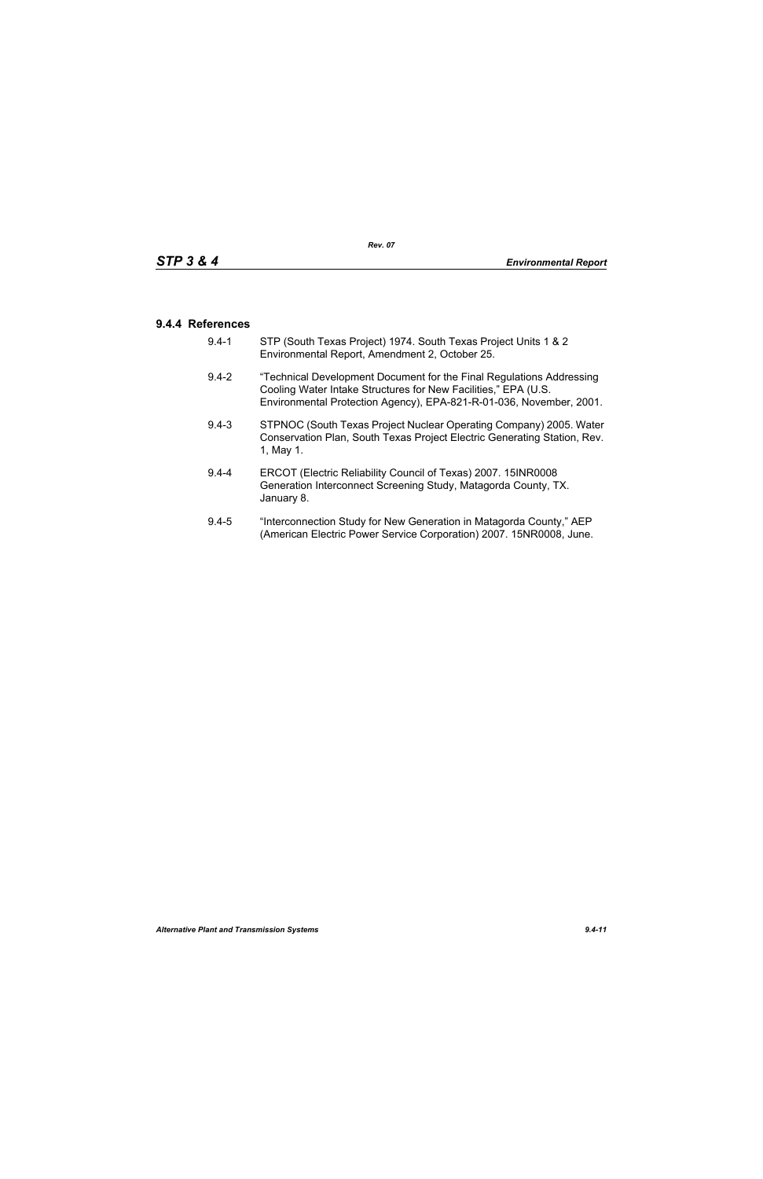# **9.4.4 References**

- 9.4-1 STP (South Texas Project) 1974. South Texas Project Units 1 & 2 Environmental Report, Amendment 2, October 25.
- 9.4-2 "Technical Development Document for the Final Regulations Addressing Cooling Water Intake Structures for New Facilities," EPA (U.S. Environmental Protection Agency), EPA-821-R-01-036, November, 2001.
- 9.4-3 STPNOC (South Texas Project Nuclear Operating Company) 2005. Water Conservation Plan, South Texas Project Electric Generating Station, Rev. 1, May 1.
- 9.4-4 ERCOT (Electric Reliability Council of Texas) 2007. 15INR0008 Generation Interconnect Screening Study, Matagorda County, TX. January 8.
- 9.4-5 "Interconnection Study for New Generation in Matagorda County," AEP (American Electric Power Service Corporation) 2007. 15NR0008, June.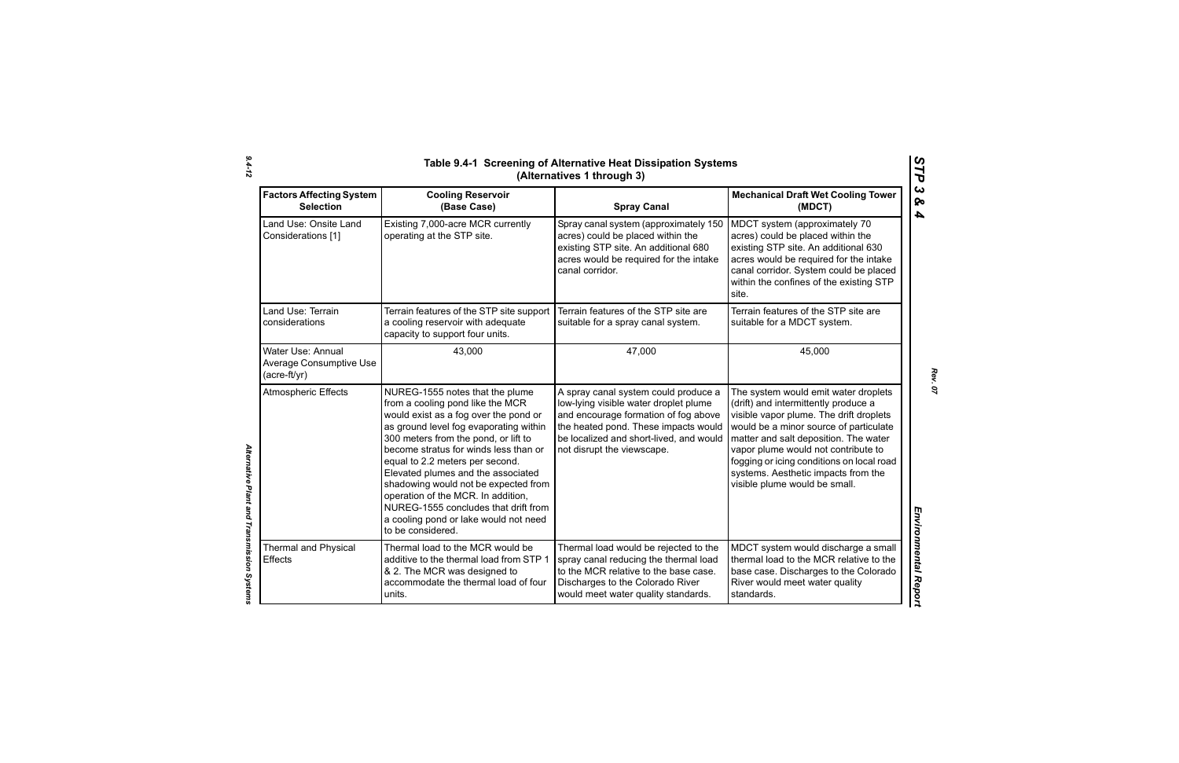| <b>Factors Affecting System</b><br><b>Selection</b>                 | <b>Cooling Reservoir</b><br>(Base Case)                                                                                                                                                                                                                                                                                                                                                                                                                                                              | <b>Spray Canal</b>                                                                                                                                                                                                                     | <b>Mechanical Draft Wet Cooling Tower</b><br>(MDCT)                                                                                                                                                                                                                                                                                                                    |
|---------------------------------------------------------------------|------------------------------------------------------------------------------------------------------------------------------------------------------------------------------------------------------------------------------------------------------------------------------------------------------------------------------------------------------------------------------------------------------------------------------------------------------------------------------------------------------|----------------------------------------------------------------------------------------------------------------------------------------------------------------------------------------------------------------------------------------|------------------------------------------------------------------------------------------------------------------------------------------------------------------------------------------------------------------------------------------------------------------------------------------------------------------------------------------------------------------------|
| Land Use: Onsite Land<br>Considerations [1]                         | Existing 7,000-acre MCR currently<br>operating at the STP site.                                                                                                                                                                                                                                                                                                                                                                                                                                      | Spray canal system (approximately 150<br>acres) could be placed within the<br>existing STP site. An additional 680<br>acres would be required for the intake<br>canal corridor.                                                        | MDCT system (approximately 70<br>acres) could be placed within the<br>existing STP site. An additional 630<br>acres would be required for the intake<br>canal corridor. System could be placed<br>within the confines of the existing STP<br>site.                                                                                                                     |
| Land Use: Terrain<br>considerations                                 | Terrain features of the STP site support<br>a cooling reservoir with adequate<br>capacity to support four units.                                                                                                                                                                                                                                                                                                                                                                                     | Terrain features of the STP site are<br>suitable for a spray canal system.                                                                                                                                                             | Terrain features of the STP site are<br>suitable for a MDCT system.                                                                                                                                                                                                                                                                                                    |
| Water Use: Annual<br><b>Average Consumptive Use</b><br>(acre-ft/yr) | 43,000                                                                                                                                                                                                                                                                                                                                                                                                                                                                                               | 47,000                                                                                                                                                                                                                                 | 45,000                                                                                                                                                                                                                                                                                                                                                                 |
| <b>Atmospheric Effects</b>                                          | NUREG-1555 notes that the plume<br>from a cooling pond like the MCR<br>would exist as a fog over the pond or<br>as ground level fog evaporating within<br>300 meters from the pond, or lift to<br>become stratus for winds less than or<br>equal to 2.2 meters per second.<br>Elevated plumes and the associated<br>shadowing would not be expected from<br>operation of the MCR. In addition,<br>NUREG-1555 concludes that drift from<br>a cooling pond or lake would not need<br>to be considered. | A spray canal system could produce a<br>low-lying visible water droplet plume<br>and encourage formation of fog above<br>the heated pond. These impacts would<br>be localized and short-lived, and would<br>not disrupt the viewscape. | The system would emit water droplets<br>(drift) and intermittently produce a<br>visible vapor plume. The drift droplets<br>would be a minor source of particulate<br>matter and salt deposition. The water<br>vapor plume would not contribute to<br>fogging or icing conditions on local road<br>systems. Aesthetic impacts from the<br>visible plume would be small. |
| Thermal and Physical<br><b>Effects</b>                              | Thermal load to the MCR would be<br>additive to the thermal load from STP 1<br>& 2. The MCR was designed to<br>accommodate the thermal load of four<br>units.                                                                                                                                                                                                                                                                                                                                        | Thermal load would be rejected to the<br>spray canal reducing the thermal load<br>to the MCR relative to the base case.<br>Discharges to the Colorado River<br>would meet water quality standards.                                     | MDCT system would discharge a small<br>thermal load to the MCR relative to the<br>base case. Discharges to the Colorado<br>River would meet water quality<br>standards.                                                                                                                                                                                                |

*Alternative Plant and Transmission Systems* 

Alternative Plant and Transmission Systems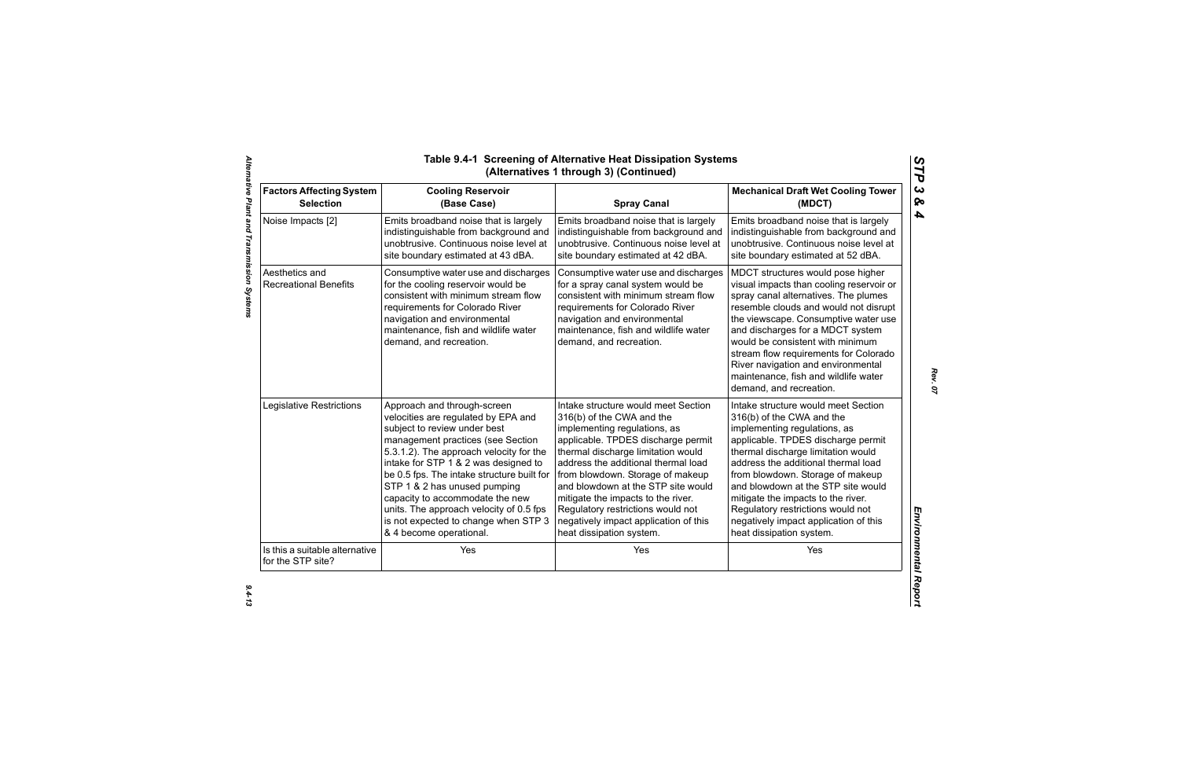| <b>Factors Affecting System</b>                     | <b>Cooling Reservoir</b>                                                                                                                                                                                                                                | <b>Spray Canal</b>                                                                                                                                                                                                                                     | <b>Mechanical Draft Wet Cooling Tower</b>                                                                                                                                                                                                                                                                                                                                                                                        |
|-----------------------------------------------------|---------------------------------------------------------------------------------------------------------------------------------------------------------------------------------------------------------------------------------------------------------|--------------------------------------------------------------------------------------------------------------------------------------------------------------------------------------------------------------------------------------------------------|----------------------------------------------------------------------------------------------------------------------------------------------------------------------------------------------------------------------------------------------------------------------------------------------------------------------------------------------------------------------------------------------------------------------------------|
| <b>Selection</b>                                    | (Base Case)                                                                                                                                                                                                                                             |                                                                                                                                                                                                                                                        | (MDCT)                                                                                                                                                                                                                                                                                                                                                                                                                           |
| Noise Impacts [2]                                   | Emits broadband noise that is largely                                                                                                                                                                                                                   | Emits broadband noise that is largely                                                                                                                                                                                                                  | Emits broadband noise that is largely                                                                                                                                                                                                                                                                                                                                                                                            |
|                                                     | indistinguishable from background and                                                                                                                                                                                                                   | indistinguishable from background and                                                                                                                                                                                                                  | indistinguishable from background and                                                                                                                                                                                                                                                                                                                                                                                            |
|                                                     | unobtrusive. Continuous noise level at                                                                                                                                                                                                                  | unobtrusive. Continuous noise level at                                                                                                                                                                                                                 | unobtrusive. Continuous noise level at                                                                                                                                                                                                                                                                                                                                                                                           |
|                                                     | site boundary estimated at 43 dBA.                                                                                                                                                                                                                      | site boundary estimated at 42 dBA.                                                                                                                                                                                                                     | site boundary estimated at 52 dBA.                                                                                                                                                                                                                                                                                                                                                                                               |
| Aesthetics and<br><b>Recreational Benefits</b>      | Consumptive water use and discharges<br>for the cooling reservoir would be<br>consistent with minimum stream flow<br>requirements for Colorado River<br>navigation and environmental<br>maintenance, fish and wildlife water<br>demand, and recreation. | Consumptive water use and discharges<br>for a spray canal system would be<br>consistent with minimum stream flow<br>requirements for Colorado River<br>navigation and environmental<br>maintenance, fish and wildlife water<br>demand, and recreation. | MDCT structures would pose higher<br>visual impacts than cooling reservoir or<br>spray canal alternatives. The plumes<br>resemble clouds and would not disrupt<br>the viewscape. Consumptive water use<br>and discharges for a MDCT system<br>would be consistent with minimum<br>stream flow requirements for Colorado<br>River navigation and environmental<br>maintenance, fish and wildlife water<br>demand, and recreation. |
| Legislative Restrictions                            | Approach and through-screen                                                                                                                                                                                                                             | Intake structure would meet Section                                                                                                                                                                                                                    | Intake structure would meet Section                                                                                                                                                                                                                                                                                                                                                                                              |
|                                                     | velocities are regulated by EPA and                                                                                                                                                                                                                     | 316(b) of the CWA and the                                                                                                                                                                                                                              | 316(b) of the CWA and the                                                                                                                                                                                                                                                                                                                                                                                                        |
|                                                     | subject to review under best                                                                                                                                                                                                                            | implementing regulations, as                                                                                                                                                                                                                           | implementing regulations, as                                                                                                                                                                                                                                                                                                                                                                                                     |
|                                                     | management practices (see Section                                                                                                                                                                                                                       | applicable. TPDES discharge permit                                                                                                                                                                                                                     | applicable. TPDES discharge permit                                                                                                                                                                                                                                                                                                                                                                                               |
|                                                     | 5.3.1.2). The approach velocity for the                                                                                                                                                                                                                 | thermal discharge limitation would                                                                                                                                                                                                                     | thermal discharge limitation would                                                                                                                                                                                                                                                                                                                                                                                               |
|                                                     | intake for STP 1 & 2 was designed to                                                                                                                                                                                                                    | address the additional thermal load                                                                                                                                                                                                                    | address the additional thermal load                                                                                                                                                                                                                                                                                                                                                                                              |
|                                                     | be 0.5 fps. The intake structure built for                                                                                                                                                                                                              | from blowdown. Storage of makeup                                                                                                                                                                                                                       | from blowdown. Storage of makeup                                                                                                                                                                                                                                                                                                                                                                                                 |
|                                                     | STP 1 & 2 has unused pumping                                                                                                                                                                                                                            | and blowdown at the STP site would                                                                                                                                                                                                                     | and blowdown at the STP site would                                                                                                                                                                                                                                                                                                                                                                                               |
|                                                     | capacity to accommodate the new                                                                                                                                                                                                                         | mitigate the impacts to the river.                                                                                                                                                                                                                     | mitigate the impacts to the river.                                                                                                                                                                                                                                                                                                                                                                                               |
|                                                     | units. The approach velocity of 0.5 fps                                                                                                                                                                                                                 | Regulatory restrictions would not                                                                                                                                                                                                                      | Regulatory restrictions would not                                                                                                                                                                                                                                                                                                                                                                                                |
|                                                     | is not expected to change when STP 3                                                                                                                                                                                                                    | negatively impact application of this                                                                                                                                                                                                                  | negatively impact application of this                                                                                                                                                                                                                                                                                                                                                                                            |
|                                                     | & 4 become operational.                                                                                                                                                                                                                                 | heat dissipation system.                                                                                                                                                                                                                               | heat dissipation system.                                                                                                                                                                                                                                                                                                                                                                                                         |
| Is this a suitable alternative<br>for the STP site? | Yes                                                                                                                                                                                                                                                     | Yes                                                                                                                                                                                                                                                    | Yes                                                                                                                                                                                                                                                                                                                                                                                                                              |

*Rev. 07*

*STP 3 & 4*

 $9.4 - 13$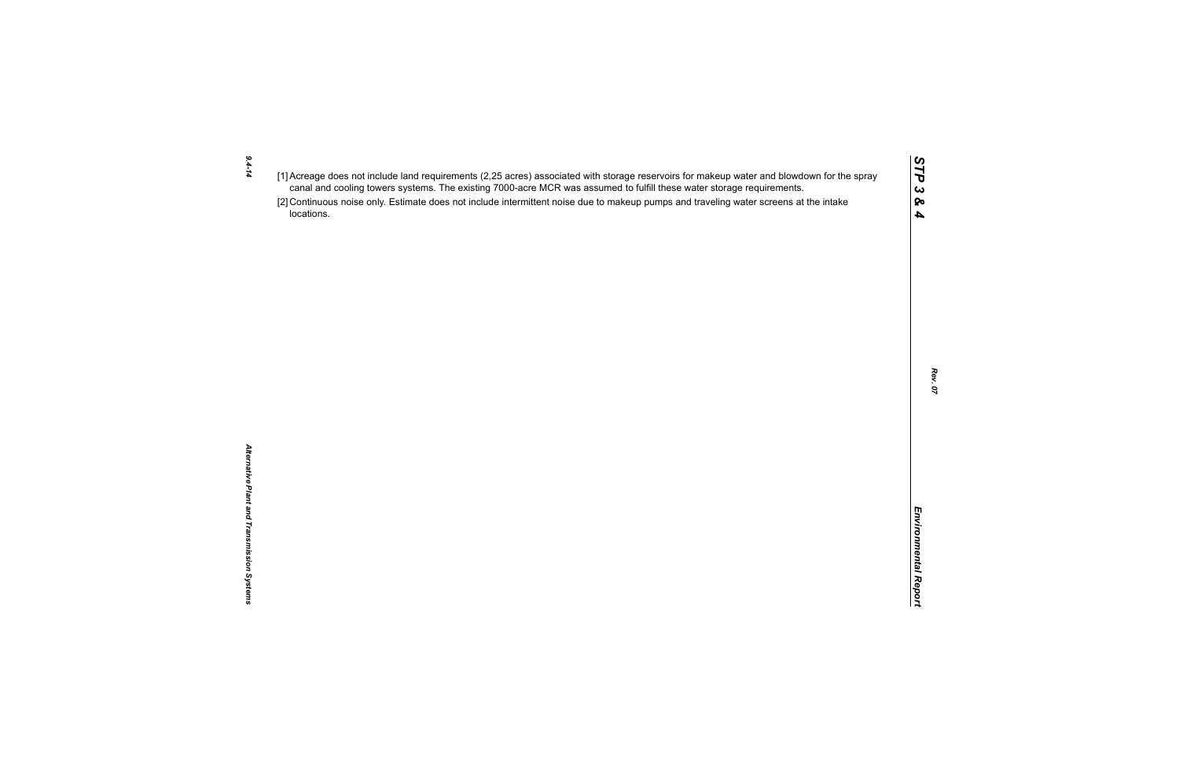- *9.4-14*
- 
- $(1)$  Accessors of the rich requirements (2.25 are once to the was assumed to furth these water storage requirements.<br>
Caroline of the control of the state of the state of the state of the state of the state of the state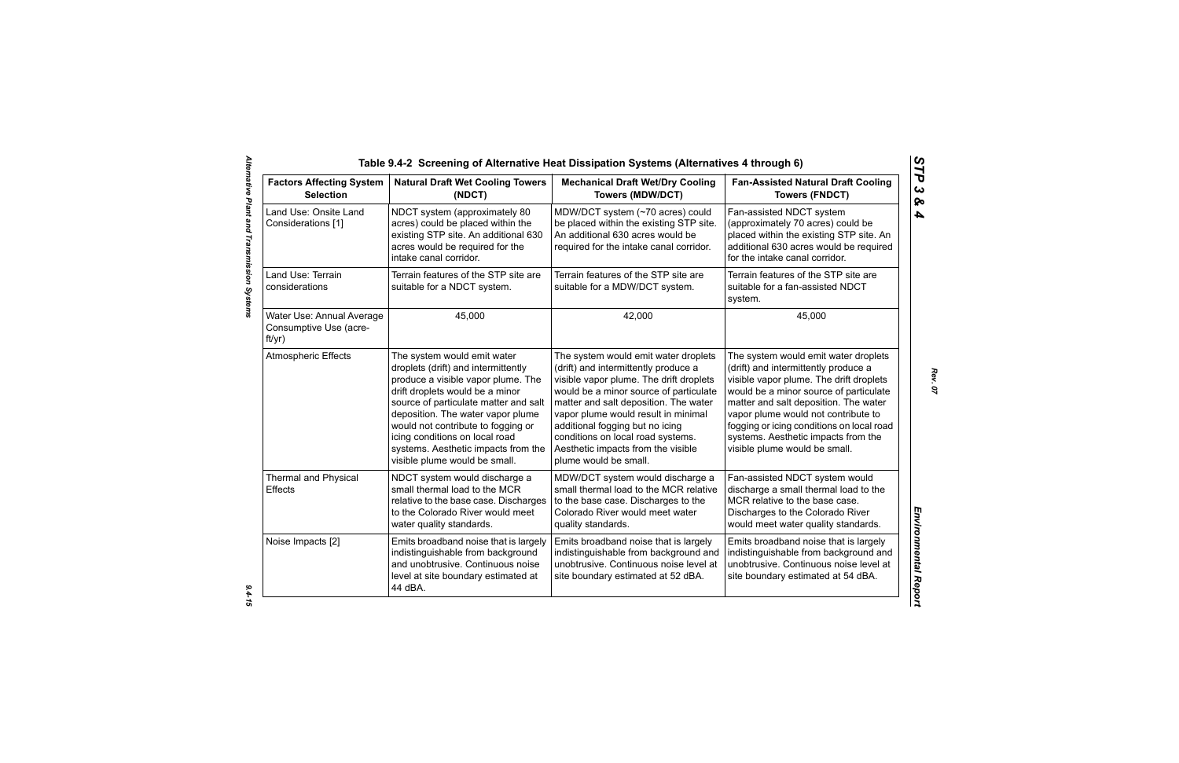| <b>Factors Affecting System</b><br><b>Selection</b>                                                                                                                                                                                                                                                                                                                                             | <b>Natural Draft Wet Cooling Towers</b><br>(NDCT)                                                                                                                                                                                                                                                                                                                         | <b>Mechanical Draft Wet/Dry Cooling</b><br><b>Towers (MDW/DCT)</b>                                                                                                                                                                                                                                                                                                                       | <b>Fan-Assisted Natural Draft Cooling</b><br><b>Towers (FNDCT)</b>                                                                                                                                                                                                                                                                                                     |
|-------------------------------------------------------------------------------------------------------------------------------------------------------------------------------------------------------------------------------------------------------------------------------------------------------------------------------------------------------------------------------------------------|---------------------------------------------------------------------------------------------------------------------------------------------------------------------------------------------------------------------------------------------------------------------------------------------------------------------------------------------------------------------------|------------------------------------------------------------------------------------------------------------------------------------------------------------------------------------------------------------------------------------------------------------------------------------------------------------------------------------------------------------------------------------------|------------------------------------------------------------------------------------------------------------------------------------------------------------------------------------------------------------------------------------------------------------------------------------------------------------------------------------------------------------------------|
| Land Use: Onsite Land<br>Considerations [1]                                                                                                                                                                                                                                                                                                                                                     | NDCT system (approximately 80<br>acres) could be placed within the<br>existing STP site. An additional 630<br>acres would be required for the<br>intake canal corridor.                                                                                                                                                                                                   | MDW/DCT system (~70 acres) could<br>be placed within the existing STP site.<br>An additional 630 acres would be<br>required for the intake canal corridor.                                                                                                                                                                                                                               | Fan-assisted NDCT system<br>(approximately 70 acres) could be<br>placed within the existing STP site. An<br>additional 630 acres would be required<br>for the intake canal corridor.                                                                                                                                                                                   |
| Land Use: Terrain<br>considerations                                                                                                                                                                                                                                                                                                                                                             | Terrain features of the STP site are<br>suitable for a NDCT system.                                                                                                                                                                                                                                                                                                       | Terrain features of the STP site are<br>suitable for a MDW/DCT system.                                                                                                                                                                                                                                                                                                                   | Terrain features of the STP site are<br>suitable for a fan-assisted NDCT<br>system.                                                                                                                                                                                                                                                                                    |
| Water Use: Annual Average<br>Consumptive Use (acre-<br>ft/yr)                                                                                                                                                                                                                                                                                                                                   | 45,000                                                                                                                                                                                                                                                                                                                                                                    | 42,000                                                                                                                                                                                                                                                                                                                                                                                   | 45,000                                                                                                                                                                                                                                                                                                                                                                 |
| <b>Atmospheric Effects</b>                                                                                                                                                                                                                                                                                                                                                                      | The system would emit water<br>droplets (drift) and intermittently<br>produce a visible vapor plume. The<br>drift droplets would be a minor<br>source of particulate matter and salt<br>deposition. The water vapor plume<br>would not contribute to fogging or<br>icing conditions on local road<br>systems. Aesthetic impacts from the<br>visible plume would be small. | The system would emit water droplets<br>(drift) and intermittently produce a<br>visible vapor plume. The drift droplets<br>would be a minor source of particulate<br>matter and salt deposition. The water<br>vapor plume would result in minimal<br>additional fogging but no icing<br>conditions on local road systems.<br>Aesthetic impacts from the visible<br>plume would be small. | The system would emit water droplets<br>(drift) and intermittently produce a<br>visible vapor plume. The drift droplets<br>would be a minor source of particulate<br>matter and salt deposition. The water<br>vapor plume would not contribute to<br>fogging or icing conditions on local road<br>systems. Aesthetic impacts from the<br>visible plume would be small. |
| <b>Thermal and Physical</b><br>MDW/DCT system would discharge a<br>NDCT system would discharge a<br>small thermal load to the MCR<br>small thermal load to the MCR relative<br>Effects<br>relative to the base case. Discharges<br>to the base case. Discharges to the<br>to the Colorado River would meet<br>Colorado River would meet water<br>water quality standards.<br>quality standards. |                                                                                                                                                                                                                                                                                                                                                                           | Fan-assisted NDCT system would<br>discharge a small thermal load to the<br>MCR relative to the base case.<br>Discharges to the Colorado River<br>would meet water quality standards.                                                                                                                                                                                                     |                                                                                                                                                                                                                                                                                                                                                                        |
| Noise Impacts [2]                                                                                                                                                                                                                                                                                                                                                                               | Emits broadband noise that is largely<br>indistinguishable from background<br>and unobtrusive. Continuous noise<br>level at site boundary estimated at<br>44 dBA.                                                                                                                                                                                                         | Emits broadband noise that is largely<br>indistinguishable from background and<br>unobtrusive. Continuous noise level at<br>site boundary estimated at 52 dBA.                                                                                                                                                                                                                           | Emits broadband noise that is largely<br>indistinguishable from background and<br>unobtrusive. Continuous noise level at<br>site boundary estimated at 54 dBA.                                                                                                                                                                                                         |

*STP 3 & 4*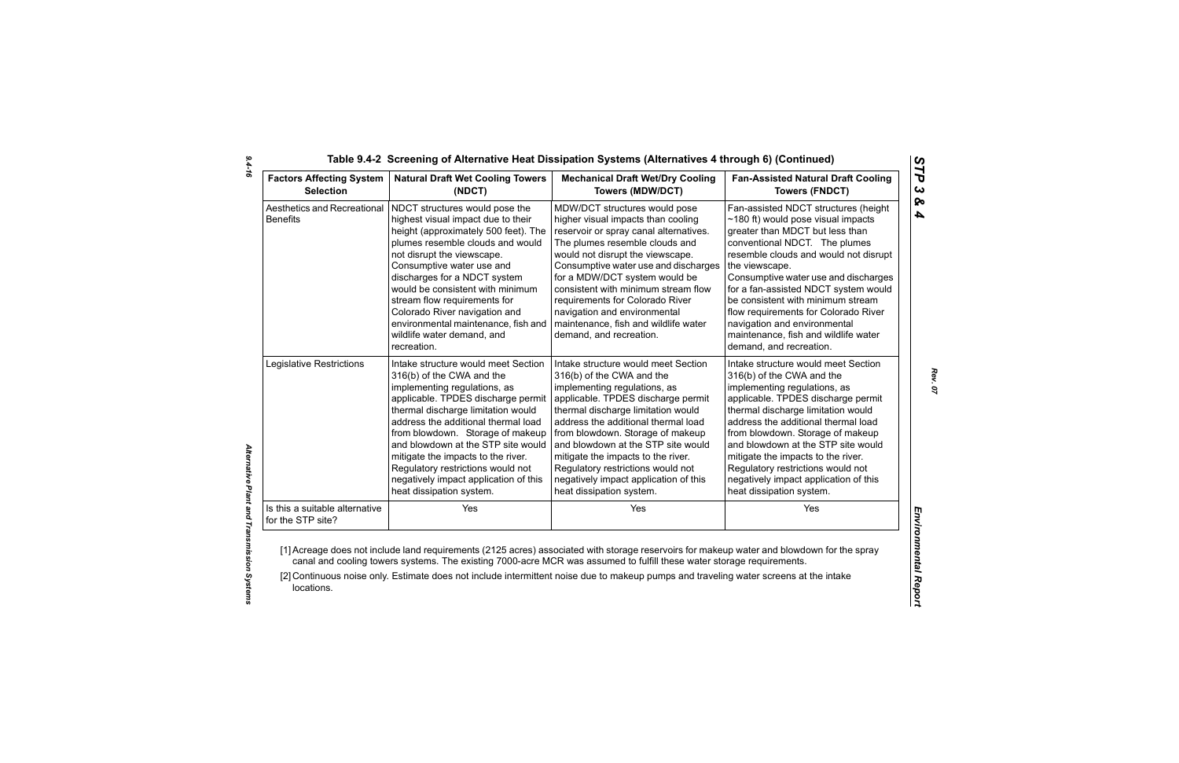| <b>Factors Affecting System</b>                     | <b>Natural Draft Wet Cooling Towers</b>                                                                                                                                                                                                                                                                                                                                                                                              | <b>Mechanical Draft Wet/Dry Cooling</b>                                                                                                                                                                                                                                                                                                                                                                                                   | <b>Fan-Assisted Natural Draft Cooling</b>                                                                                                                                                                                                                                                                                                                                                                                                                                       |  |
|-----------------------------------------------------|--------------------------------------------------------------------------------------------------------------------------------------------------------------------------------------------------------------------------------------------------------------------------------------------------------------------------------------------------------------------------------------------------------------------------------------|-------------------------------------------------------------------------------------------------------------------------------------------------------------------------------------------------------------------------------------------------------------------------------------------------------------------------------------------------------------------------------------------------------------------------------------------|---------------------------------------------------------------------------------------------------------------------------------------------------------------------------------------------------------------------------------------------------------------------------------------------------------------------------------------------------------------------------------------------------------------------------------------------------------------------------------|--|
| <b>Selection</b>                                    | (NDCT)                                                                                                                                                                                                                                                                                                                                                                                                                               | <b>Towers (MDW/DCT)</b>                                                                                                                                                                                                                                                                                                                                                                                                                   | <b>Towers (FNDCT)</b>                                                                                                                                                                                                                                                                                                                                                                                                                                                           |  |
| Aesthetics and Recreational<br><b>Benefits</b>      | NDCT structures would pose the<br>highest visual impact due to their<br>height (approximately 500 feet). The<br>plumes resemble clouds and would<br>not disrupt the viewscape.<br>Consumptive water use and<br>discharges for a NDCT system<br>would be consistent with minimum<br>stream flow requirements for<br>Colorado River navigation and<br>environmental maintenance, fish and<br>wildlife water demand, and<br>recreation. | MDW/DCT structures would pose<br>higher visual impacts than cooling<br>reservoir or spray canal alternatives.<br>The plumes resemble clouds and<br>would not disrupt the viewscape.<br>Consumptive water use and discharges<br>for a MDW/DCT system would be<br>consistent with minimum stream flow<br>requirements for Colorado River<br>navigation and environmental<br>maintenance, fish and wildlife water<br>demand, and recreation. | Fan-assisted NDCT structures (height<br>$\sim$ 180 ft) would pose visual impacts<br>greater than MDCT but less than<br>conventional NDCT. The plumes<br>resemble clouds and would not disrupt<br>the viewscape.<br>Consumptive water use and discharges<br>for a fan-assisted NDCT system would<br>be consistent with minimum stream<br>flow requirements for Colorado River<br>navigation and environmental<br>maintenance, fish and wildlife water<br>demand, and recreation. |  |
| Legislative Restrictions                            | Intake structure would meet Section                                                                                                                                                                                                                                                                                                                                                                                                  | Intake structure would meet Section                                                                                                                                                                                                                                                                                                                                                                                                       | Intake structure would meet Section                                                                                                                                                                                                                                                                                                                                                                                                                                             |  |
|                                                     | 316(b) of the CWA and the                                                                                                                                                                                                                                                                                                                                                                                                            | 316(b) of the CWA and the                                                                                                                                                                                                                                                                                                                                                                                                                 | 316(b) of the CWA and the                                                                                                                                                                                                                                                                                                                                                                                                                                                       |  |
|                                                     | implementing regulations, as                                                                                                                                                                                                                                                                                                                                                                                                         | implementing regulations, as                                                                                                                                                                                                                                                                                                                                                                                                              | implementing regulations, as                                                                                                                                                                                                                                                                                                                                                                                                                                                    |  |
|                                                     | applicable. TPDES discharge permit                                                                                                                                                                                                                                                                                                                                                                                                   | applicable. TPDES discharge permit                                                                                                                                                                                                                                                                                                                                                                                                        | applicable. TPDES discharge permit                                                                                                                                                                                                                                                                                                                                                                                                                                              |  |
|                                                     | thermal discharge limitation would                                                                                                                                                                                                                                                                                                                                                                                                   | thermal discharge limitation would                                                                                                                                                                                                                                                                                                                                                                                                        | thermal discharge limitation would                                                                                                                                                                                                                                                                                                                                                                                                                                              |  |
|                                                     | address the additional thermal load                                                                                                                                                                                                                                                                                                                                                                                                  | address the additional thermal load                                                                                                                                                                                                                                                                                                                                                                                                       | address the additional thermal load                                                                                                                                                                                                                                                                                                                                                                                                                                             |  |
|                                                     | from blowdown. Storage of makeup                                                                                                                                                                                                                                                                                                                                                                                                     | from blowdown. Storage of makeup                                                                                                                                                                                                                                                                                                                                                                                                          | from blowdown. Storage of makeup                                                                                                                                                                                                                                                                                                                                                                                                                                                |  |
|                                                     | and blowdown at the STP site would                                                                                                                                                                                                                                                                                                                                                                                                   | and blowdown at the STP site would                                                                                                                                                                                                                                                                                                                                                                                                        | and blowdown at the STP site would                                                                                                                                                                                                                                                                                                                                                                                                                                              |  |
|                                                     | mitigate the impacts to the river.                                                                                                                                                                                                                                                                                                                                                                                                   | mitigate the impacts to the river.                                                                                                                                                                                                                                                                                                                                                                                                        | mitigate the impacts to the river.                                                                                                                                                                                                                                                                                                                                                                                                                                              |  |
|                                                     | Regulatory restrictions would not                                                                                                                                                                                                                                                                                                                                                                                                    | Regulatory restrictions would not                                                                                                                                                                                                                                                                                                                                                                                                         | Regulatory restrictions would not                                                                                                                                                                                                                                                                                                                                                                                                                                               |  |
|                                                     | negatively impact application of this                                                                                                                                                                                                                                                                                                                                                                                                | negatively impact application of this                                                                                                                                                                                                                                                                                                                                                                                                     | negatively impact application of this                                                                                                                                                                                                                                                                                                                                                                                                                                           |  |
|                                                     | heat dissipation system.                                                                                                                                                                                                                                                                                                                                                                                                             | heat dissipation system.                                                                                                                                                                                                                                                                                                                                                                                                                  | heat dissipation system.                                                                                                                                                                                                                                                                                                                                                                                                                                                        |  |
| Is this a suitable alternative<br>for the STP site? | Yes                                                                                                                                                                                                                                                                                                                                                                                                                                  | Yes                                                                                                                                                                                                                                                                                                                                                                                                                                       | Yes                                                                                                                                                                                                                                                                                                                                                                                                                                                                             |  |

*9.4-16*

*Rev. 07*

*STP 3 & 4*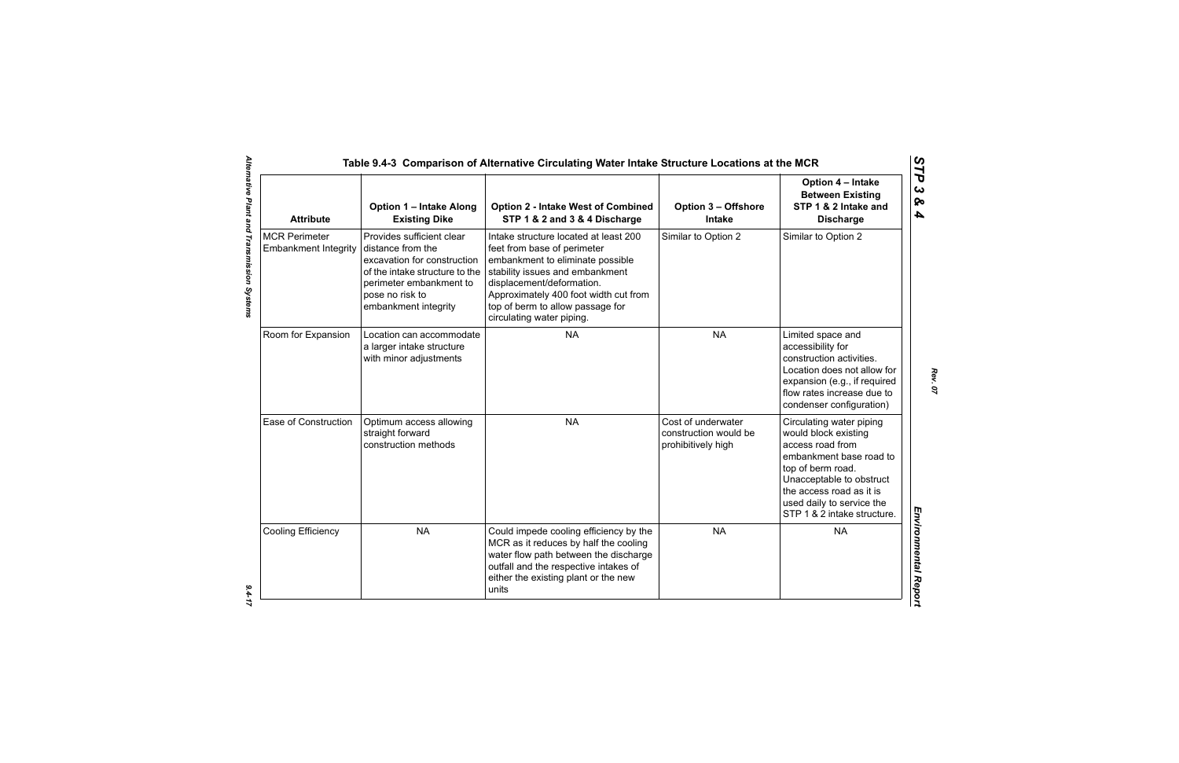| <b>Attribute</b>                                    | <b>Option 1 - Intake Along</b><br><b>Existing Dike</b>                                                                                                                                | <b>Option 2 - Intake West of Combined</b><br>STP 1 & 2 and 3 & 4 Discharge                                                                                                                                                                                                         | <b>Option 3 - Offshore</b><br><b>Intake</b>                       | Option 4 - Intake<br><b>Between Existing</b><br>STP 1 & 2 Intake and<br><b>Discharge</b>                                                                                                                                                 |
|-----------------------------------------------------|---------------------------------------------------------------------------------------------------------------------------------------------------------------------------------------|------------------------------------------------------------------------------------------------------------------------------------------------------------------------------------------------------------------------------------------------------------------------------------|-------------------------------------------------------------------|------------------------------------------------------------------------------------------------------------------------------------------------------------------------------------------------------------------------------------------|
| <b>MCR Perimeter</b><br><b>Embankment Integrity</b> | Provides sufficient clear<br>distance from the<br>excavation for construction<br>of the intake structure to the<br>perimeter embankment to<br>pose no risk to<br>embankment integrity | Intake structure located at least 200<br>feet from base of perimeter<br>embankment to eliminate possible<br>stability issues and embankment<br>displacement/deformation.<br>Approximately 400 foot width cut from<br>top of berm to allow passage for<br>circulating water piping. | Similar to Option 2                                               | Similar to Option 2                                                                                                                                                                                                                      |
| Room for Expansion                                  | Location can accommodate<br>a larger intake structure<br>with minor adjustments                                                                                                       | <b>NA</b>                                                                                                                                                                                                                                                                          | <b>NA</b>                                                         | Limited space and<br>accessibility for<br>construction activities.<br>Location does not allow for<br>expansion (e.g., if required<br>flow rates increase due to<br>condenser configuration)                                              |
| Ease of Construction                                | Optimum access allowing<br>straight forward<br>construction methods                                                                                                                   | <b>NA</b>                                                                                                                                                                                                                                                                          | Cost of underwater<br>construction would be<br>prohibitively high | Circulating water piping<br>would block existing<br>access road from<br>embankment base road to<br>top of berm road.<br>Unacceptable to obstruct<br>the access road as it is<br>used daily to service the<br>STP 1 & 2 intake structure. |
| <b>Cooling Efficiency</b>                           | <b>NA</b>                                                                                                                                                                             | Could impede cooling efficiency by the<br>MCR as it reduces by half the cooling<br>water flow path between the discharge<br>outfall and the respective intakes of<br>either the existing plant or the new<br>units                                                                 | <b>NA</b>                                                         | <b>NA</b>                                                                                                                                                                                                                                |

*Rev. 07*

 $9.4 - 17$